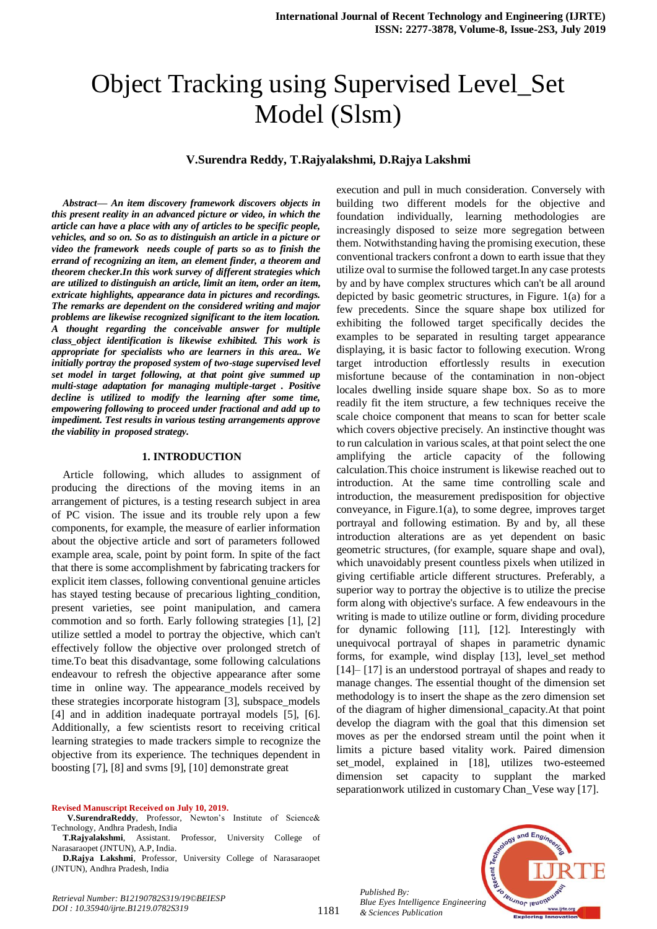# Object Tracking using Supervised Level\_Set Model (Slsm)

# **V.Surendra Reddy, T.Rajyalakshmi, D.Rajya Lakshmi**

*Abstract***—** *An item discovery framework discovers objects in this present reality in an advanced picture or video, in which the article can have a place with any of articles to be specific people, vehicles, and so on. So as to distinguish an article in a picture or video the framework needs couple of parts so as to finish the errand of recognizing an item, an element finder, a theorem and theorem checker.In this work survey of different strategies which are utilized to distinguish an article, limit an item, order an item, extricate highlights, appearance data in pictures and recordings. The remarks are dependent on the considered writing and major problems are likewise recognized significant to the item location. A thought regarding the conceivable answer for multiple class\_object identification is likewise exhibited. This work is appropriate for specialists who are learners in this area.. We initially portray the proposed system of two-stage supervised level set model in target following, at that point give summed up multi-stage adaptation for managing multiple-target . Positive decline is utilized to modify the learning after some time, empowering following to proceed under fractional and add up to impediment. Test results in various testing arrangements approve the viability in proposed strategy.*

### **1. INTRODUCTION**

Article following, which alludes to assignment of producing the directions of the moving items in an arrangement of pictures, is a testing research subject in area of PC vision. The issue and its trouble rely upon a few components, for example, the measure of earlier information about the objective article and sort of parameters followed example area, scale, point by point form. In spite of the fact that there is some accomplishment by fabricating trackers for explicit item classes, following conventional genuine articles has stayed testing because of precarious lighting\_condition, present varieties, see point manipulation, and camera commotion and so forth. Early following strategies [1], [2] utilize settled a model to portray the objective, which can't effectively follow the objective over prolonged stretch of time.To beat this disadvantage, some following calculations endeavour to refresh the objective appearance after some time in online way. The appearance\_models received by these strategies incorporate histogram [3], subspace\_models [4] and in addition inadequate portrayal models [5], [6]. Additionally, a few scientists resort to receiving critical learning strategies to made trackers simple to recognize the objective from its experience. The techniques dependent in boosting [7], [8] and svms [9], [10] demonstrate great

#### **Revised Manuscript Received on July 10, 2019.**

**V.SurendraReddy**, Professor, Newton's Institute of Science& Technology, Andhra Pradesh, India

**T.Rajyalakshmi**, Assistant. Professor, University College of Narasaraopet (JNTUN), A.P, India.

**D.Rajya Lakshmi**, Professor, University College of Narasaraopet (JNTUN), Andhra Pradesh, India

building two different models for the objective and foundation individually, learning methodologies are increasingly disposed to seize more segregation between them. Notwithstanding having the promising execution, these conventional trackers confront a down to earth issue that they utilize oval to surmise the followed target.In any case protests by and by have complex structures which can't be all around depicted by basic geometric structures, in Figure. 1(a) for a few precedents. Since the square shape box utilized for exhibiting the followed target specifically decides the examples to be separated in resulting target appearance displaying, it is basic factor to following execution. Wrong target introduction effortlessly results in execution misfortune because of the contamination in non-object locales dwelling inside square shape box. So as to more readily fit the item structure, a few techniques receive the scale choice component that means to scan for better scale which covers objective precisely. An instinctive thought was to run calculation in various scales, at that point select the one amplifying the article capacity of the following calculation.This choice instrument is likewise reached out to introduction. At the same time controlling scale and introduction, the measurement predisposition for objective conveyance, in Figure.1(a), to some degree, improves target portrayal and following estimation. By and by, all these introduction alterations are as yet dependent on basic geometric structures, (for example, square shape and oval), which unavoidably present countless pixels when utilized in giving certifiable article different structures. Preferably, a superior way to portray the objective is to utilize the precise form along with objective's surface. A few endeavours in the writing is made to utilize outline or form, dividing procedure for dynamic following [11], [12]. Interestingly with unequivocal portrayal of shapes in parametric dynamic forms, for example, wind display [13], level\_set method [14]– [17] is an understood portrayal of shapes and ready to manage changes. The essential thought of the dimension set methodology is to insert the shape as the zero dimension set of the diagram of higher dimensional\_capacity.At that point develop the diagram with the goal that this dimension set moves as per the endorsed stream until the point when it limits a picture based vitality work. Paired dimension set\_model, explained in [18], utilizes two-esteemed dimension set capacity to supplant the marked separationwork utilized in customary Chan\_Vese way [17].

execution and pull in much consideration. Conversely with

*Published By: Blue Eyes Intelligence Engineering & Sciences Publication* 



*Retrieval Number: B12190782S319/19©BEIESP DOI : 10.35940/ijrte.B1219.0782S319*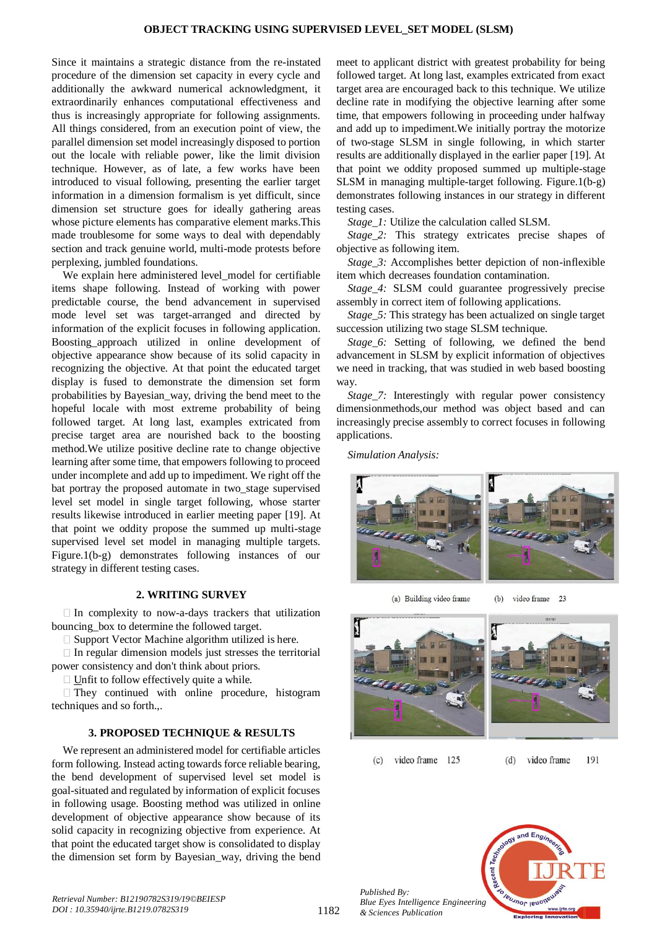Since it maintains a strategic distance from the re-instated procedure of the dimension set capacity in every cycle and additionally the awkward numerical acknowledgment, it extraordinarily enhances computational effectiveness and thus is increasingly appropriate for following assignments. All things considered, from an execution point of view, the parallel dimension set model increasingly disposed to portion out the locale with reliable power, like the limit division technique. However, as of late, a few works have been introduced to visual following, presenting the earlier target information in a dimension formalism is yet difficult, since dimension set structure goes for ideally gathering areas whose picture elements has comparative element marks.This made troublesome for some ways to deal with dependably section and track genuine world, multi-mode protests before perplexing, jumbled foundations.

We explain here administered level model for certifiable items shape following. Instead of working with power predictable course, the bend advancement in supervised mode level set was target-arranged and directed by information of the explicit focuses in following application. Boosting\_approach utilized in online development of objective appearance show because of its solid capacity in recognizing the objective. At that point the educated target display is fused to demonstrate the dimension set form probabilities by Bayesian\_way, driving the bend meet to the hopeful locale with most extreme probability of being followed target. At long last, examples extricated from precise target area are nourished back to the boosting method.We utilize positive decline rate to change objective learning after some time, that empowers following to proceed under incomplete and add up to impediment. We right off the bat portray the proposed automate in two\_stage supervised level set model in single target following, whose starter results likewise introduced in earlier meeting paper [19]. At that point we oddity propose the summed up multi-stage supervised level set model in managing multiple targets. Figure.1(b-g) demonstrates following instances of our strategy in different testing cases.

## **2. WRITING SURVEY**

 $\Box$  In complexity to now-a-days trackers that utilization bouncing\_box to determine the followed target.

Support Vector Machine algorithm utilized is here.

 $\Box$  In regular dimension models just stresses the territorial power consistency and don't think about priors.

Unfit to follow effectively quite a while.

 $\Box$  They continued with online procedure, histogram techniques and so forth.,.

# **3. PROPOSED TECHNIQUE & RESULTS**

We represent an administered model for certifiable articles form following. Instead acting towards force reliable bearing, the bend development of supervised level set model is goal-situated and regulated by information of explicit focuses in following usage. Boosting method was utilized in online development of objective appearance show because of its solid capacity in recognizing objective from experience. At that point the educated target show is consolidated to display the dimension set form by Bayesian\_way, driving the bend

meet to applicant district with greatest probability for being followed target. At long last, examples extricated from exact target area are encouraged back to this technique. We utilize decline rate in modifying the objective learning after some time, that empowers following in proceeding under halfway and add up to impediment.We initially portray the motorize of two-stage SLSM in single following, in which starter results are additionally displayed in the earlier paper [19]. At that point we oddity proposed summed up multiple-stage SLSM in managing multiple-target following. Figure.1(b-g) demonstrates following instances in our strategy in different testing cases.

*Stage\_1:* Utilize the calculation called SLSM.

*Stage\_2:* This strategy extricates precise shapes of objective as following item.

*Stage\_3:* Accomplishes better depiction of non-inflexible item which decreases foundation contamination.

*Stage\_4:* SLSM could guarantee progressively precise assembly in correct item of following applications.

*Stage* 5: This strategy has been actualized on single target succession utilizing two stage SLSM technique.

*Stage\_6:* Setting of following, we defined the bend advancement in SLSM by explicit information of objectives we need in tracking, that was studied in web based boosting way.

*Stage\_7:* Interestingly with regular power consistency dimensionmethods,our method was object based and can increasingly precise assembly to correct focuses in following applications.

*Simulation Analysis:*



(a) Building video frame

video frame 23  $(b)$ 



191 video frame 125  $(d)$ video frame  $(c)$ 



1182

*Published By:*

*& Sciences Publication*